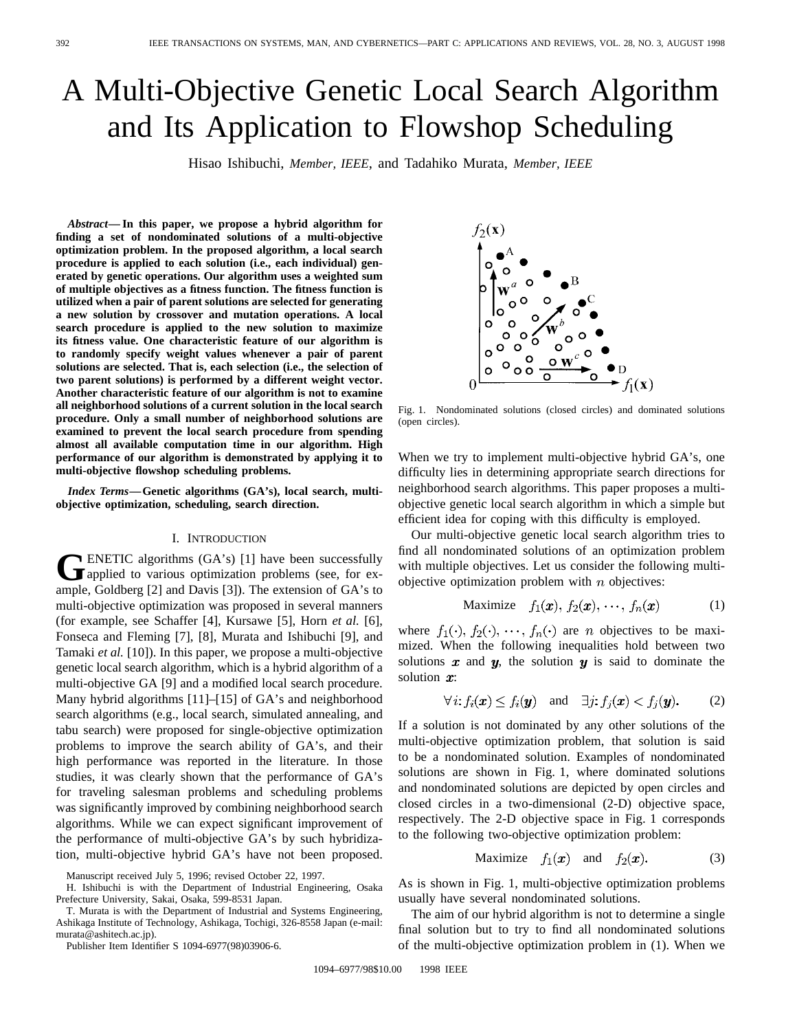# A Multi-Objective Genetic Local Search Algorithm and Its Application to Flowshop Scheduling

Hisao Ishibuchi, *Member, IEEE*, and Tadahiko Murata, *Member, IEEE*

*Abstract—* **In this paper, we propose a hybrid algorithm for finding a set of nondominated solutions of a multi-objective optimization problem. In the proposed algorithm, a local search procedure is applied to each solution (i.e., each individual) generated by genetic operations. Our algorithm uses a weighted sum of multiple objectives as a fitness function. The fitness function is utilized when a pair of parent solutions are selected for generating a new solution by crossover and mutation operations. A local search procedure is applied to the new solution to maximize its fitness value. One characteristic feature of our algorithm is to randomly specify weight values whenever a pair of parent solutions are selected. That is, each selection (i.e., the selection of two parent solutions) is performed by a different weight vector. Another characteristic feature of our algorithm is not to examine all neighborhood solutions of a current solution in the local search procedure. Only a small number of neighborhood solutions are examined to prevent the local search procedure from spending almost all available computation time in our algorithm. High performance of our algorithm is demonstrated by applying it to multi-objective flowshop scheduling problems.**

*Index Terms—***Genetic algorithms (GA's), local search, multiobjective optimization, scheduling, search direction.**

## I. INTRODUCTION

GENETIC algorithms (GA's) [1] have been successfully<br>applied to various optimization problems (see, for ex-<br>apple Galdbara [2] and Davis [2]). The outensies of GA's to ample, Goldberg [2] and Davis [3]). The extension of GA's to multi-objective optimization was proposed in several manners (for example, see Schaffer [4], Kursawe [5], Horn *et al.* [6], Fonseca and Fleming [7], [8], Murata and Ishibuchi [9], and Tamaki *et al.* [10]). In this paper, we propose a multi-objective genetic local search algorithm, which is a hybrid algorithm of a multi-objective GA [9] and a modified local search procedure. Many hybrid algorithms [11]–[15] of GA's and neighborhood search algorithms (e.g., local search, simulated annealing, and tabu search) were proposed for single-objective optimization problems to improve the search ability of GA's, and their high performance was reported in the literature. In those studies, it was clearly shown that the performance of GA's for traveling salesman problems and scheduling problems was significantly improved by combining neighborhood search algorithms. While we can expect significant improvement of the performance of multi-objective GA's by such hybridization, multi-objective hybrid GA's have not been proposed.

T. Murata is with the Department of Industrial and Systems Engineering, Ashikaga Institute of Technology, Ashikaga, Tochigi, 326-8558 Japan (e-mail: murata@ashitech.ac.jp).

Publisher Item Identifier S 1094-6977(98)03906-6.



Fig. 1. Nondominated solutions (closed circles) and dominated solutions (open circles).

When we try to implement multi-objective hybrid GA's, one difficulty lies in determining appropriate search directions for neighborhood search algorithms. This paper proposes a multiobjective genetic local search algorithm in which a simple but efficient idea for coping with this difficulty is employed.

Our multi-objective genetic local search algorithm tries to find all nondominated solutions of an optimization problem with multiple objectives. Let us consider the following multiobjective optimization problem with  $n$  objectives:

$$
\text{Maximize} \quad f_1(\boldsymbol{x}), \, f_2(\boldsymbol{x}), \, \cdots, \, f_n(\boldsymbol{x}) \tag{1}
$$

where  $f_1(\cdot), f_2(\cdot), \dots, f_n(\cdot)$  are *n* objectives to be maximized. When the following inequalities hold between two solutions  $x$  and  $y$ , the solution  $y$  is said to dominate the solution  $x$ :

$$
\forall i: f_i(\mathbf{x}) \le f_i(\mathbf{y}) \quad \text{and} \quad \exists j: f_j(\mathbf{x}) < f_j(\mathbf{y}). \tag{2}
$$

If a solution is not dominated by any other solutions of the multi-objective optimization problem, that solution is said to be a nondominated solution. Examples of nondominated solutions are shown in Fig. 1, where dominated solutions and nondominated solutions are depicted by open circles and closed circles in a two-dimensional (2-D) objective space, respectively. The 2-D objective space in Fig. 1 corresponds to the following two-objective optimization problem:

$$
\text{Maximize} \quad f_1(\boldsymbol{x}) \quad \text{and} \quad f_2(\boldsymbol{x}). \tag{3}
$$

As is shown in Fig. 1, multi-objective optimization problems usually have several nondominated solutions.

The aim of our hybrid algorithm is not to determine a single final solution but to try to find all nondominated solutions of the multi-objective optimization problem in (1). When we

Manuscript received July 5, 1996; revised October 22, 1997.

H. Ishibuchi is with the Department of Industrial Engineering, Osaka Prefecture University, Sakai, Osaka, 599-8531 Japan.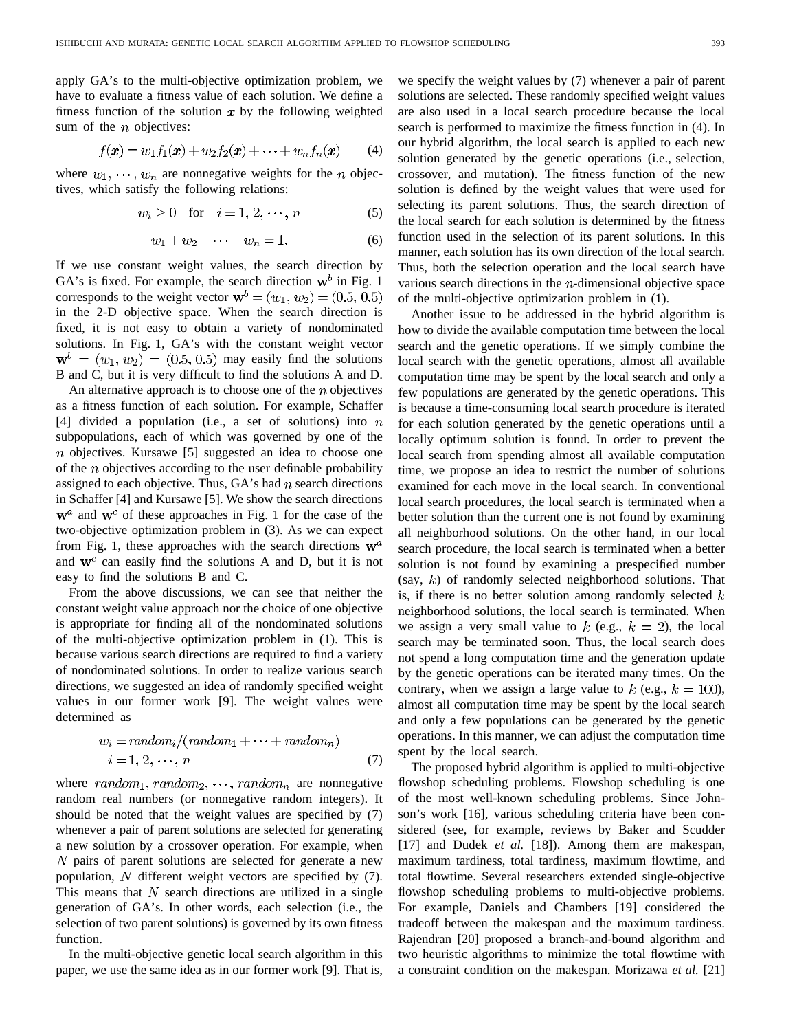apply GA's to the multi-objective optimization problem, we have to evaluate a fitness value of each solution. We define a fitness function of the solution  $x$  by the following weighted sum of the  $n$  objectives:

$$
f(\boldsymbol{x}) = w_1 f_1(\boldsymbol{x}) + w_2 f_2(\boldsymbol{x}) + \cdots + w_n f_n(\boldsymbol{x}) \qquad (4)
$$

where  $w_1, \dots, w_n$  are nonnegative weights for the *n* objectives, which satisfy the following relations:

$$
w_i \ge 0 \quad \text{for} \quad i = 1, 2, \cdots, n \tag{5}
$$

$$
w_1 + w_2 + \dots + w_n = 1. \tag{6}
$$

If we use constant weight values, the search direction by GA's is fixed. For example, the search direction  $\mathbf{w}^b$  in Fig. 1 corresponds to the weight vector  $\mathbf{w}^b = (w_1, w_2) = (0.5, 0.5)$ in the 2-D objective space. When the search direction is fixed, it is not easy to obtain a variety of nondominated solutions. In Fig. 1, GA's with the constant weight vector  $\mathbf{w}^b = (w_1, w_2) = (0.5, 0.5)$  may easily find the solutions B and C, but it is very difficult to find the solutions A and D.

An alternative approach is to choose one of the  $n$  objectives as a fitness function of each solution. For example, Schaffer [4] divided a population (i.e., a set of solutions) into  $n$ subpopulations, each of which was governed by one of the  $n$  objectives. Kursawe [5] suggested an idea to choose one of the  $n$  objectives according to the user definable probability assigned to each objective. Thus,  $GA$ 's had n search directions in Schaffer [4] and Kursawe [5]. We show the search directions  $w^a$  and  $w^c$  of these approaches in Fig. 1 for the case of the two-objective optimization problem in (3). As we can expect from Fig. 1, these approaches with the search directions  $w^a$ and  $\mathbf{w}^c$  can easily find the solutions A and D, but it is not easy to find the solutions B and C.

From the above discussions, we can see that neither the constant weight value approach nor the choice of one objective is appropriate for finding all of the nondominated solutions of the multi-objective optimization problem in (1). This is because various search directions are required to find a variety of nondominated solutions. In order to realize various search directions, we suggested an idea of randomly specified weight values in our former work [9]. The weight values were determined as

$$
w_i = random_i/(random_1 + \dots + random_n)
$$
  

$$
i = 1, 2, \dots, n
$$
 (7)

where  $random_1, random_2, \cdots, random_n$  are nonnegative random real numbers (or nonnegative random integers). It should be noted that the weight values are specified by (7) whenever a pair of parent solutions are selected for generating a new solution by a crossover operation. For example, when  $N$  pairs of parent solutions are selected for generate a new population,  $N$  different weight vectors are specified by  $(7)$ . This means that  $N$  search directions are utilized in a single generation of GA's. In other words, each selection (i.e., the selection of two parent solutions) is governed by its own fitness function.

In the multi-objective genetic local search algorithm in this paper, we use the same idea as in our former work [9]. That is, we specify the weight values by (7) whenever a pair of parent solutions are selected. These randomly specified weight values are also used in a local search procedure because the local search is performed to maximize the fitness function in (4). In our hybrid algorithm, the local search is applied to each new solution generated by the genetic operations (i.e., selection, crossover, and mutation). The fitness function of the new solution is defined by the weight values that were used for selecting its parent solutions. Thus, the search direction of the local search for each solution is determined by the fitness function used in the selection of its parent solutions. In this manner, each solution has its own direction of the local search. Thus, both the selection operation and the local search have various search directions in the  $n$ -dimensional objective space of the multi-objective optimization problem in (1).

Another issue to be addressed in the hybrid algorithm is how to divide the available computation time between the local search and the genetic operations. If we simply combine the local search with the genetic operations, almost all available computation time may be spent by the local search and only a few populations are generated by the genetic operations. This is because a time-consuming local search procedure is iterated for each solution generated by the genetic operations until a locally optimum solution is found. In order to prevent the local search from spending almost all available computation time, we propose an idea to restrict the number of solutions examined for each move in the local search. In conventional local search procedures, the local search is terminated when a better solution than the current one is not found by examining all neighborhood solutions. On the other hand, in our local search procedure, the local search is terminated when a better solution is not found by examining a prespecified number (say,  $k$ ) of randomly selected neighborhood solutions. That is, if there is no better solution among randomly selected  $k$ neighborhood solutions, the local search is terminated. When we assign a very small value to  $k$  (e.g.,  $k = 2$ ), the local search may be terminated soon. Thus, the local search does not spend a long computation time and the generation update by the genetic operations can be iterated many times. On the contrary, when we assign a large value to k (e.g.,  $k = 100$ ), almost all computation time may be spent by the local search and only a few populations can be generated by the genetic operations. In this manner, we can adjust the computation time spent by the local search.

The proposed hybrid algorithm is applied to multi-objective flowshop scheduling problems. Flowshop scheduling is one of the most well-known scheduling problems. Since Johnson's work [16], various scheduling criteria have been considered (see, for example, reviews by Baker and Scudder [17] and Dudek *et al.* [18]). Among them are makespan, maximum tardiness, total tardiness, maximum flowtime, and total flowtime. Several researchers extended single-objective flowshop scheduling problems to multi-objective problems. For example, Daniels and Chambers [19] considered the tradeoff between the makespan and the maximum tardiness. Rajendran [20] proposed a branch-and-bound algorithm and two heuristic algorithms to minimize the total flowtime with a constraint condition on the makespan. Morizawa *et al.* [21]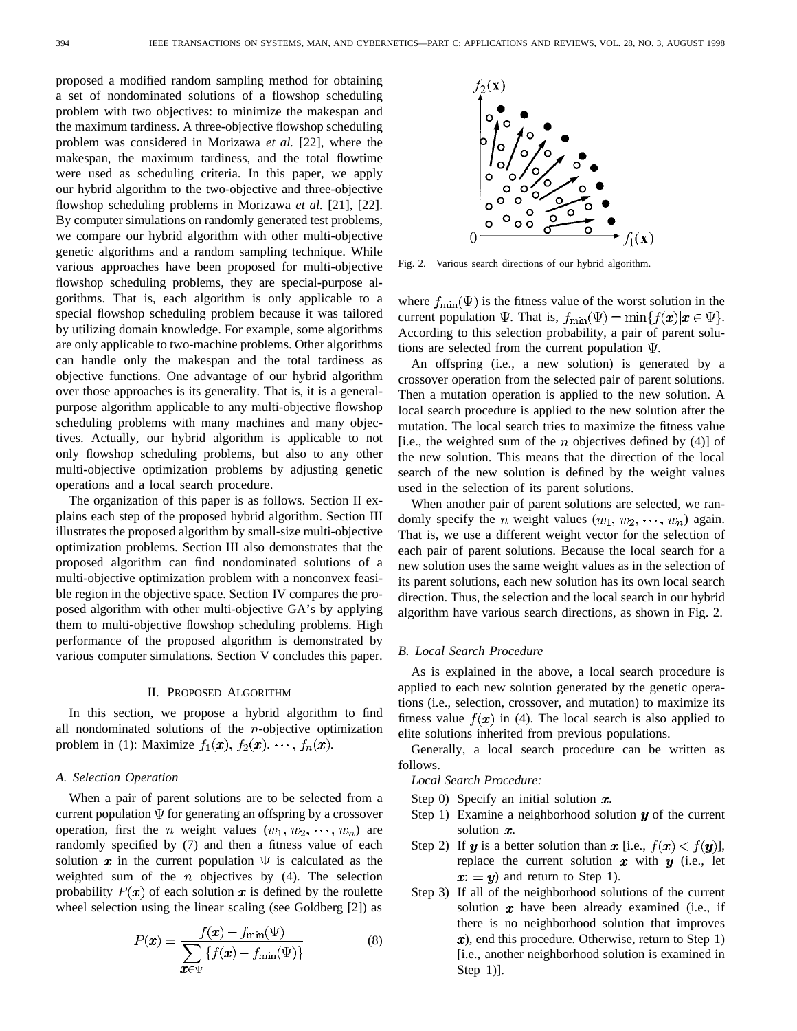proposed a modified random sampling method for obtaining a set of nondominated solutions of a flowshop scheduling problem with two objectives: to minimize the makespan and the maximum tardiness. A three-objective flowshop scheduling problem was considered in Morizawa *et al.* [22], where the makespan, the maximum tardiness, and the total flowtime were used as scheduling criteria. In this paper, we apply our hybrid algorithm to the two-objective and three-objective flowshop scheduling problems in Morizawa *et al.* [21], [22]. By computer simulations on randomly generated test problems, we compare our hybrid algorithm with other multi-objective genetic algorithms and a random sampling technique. While various approaches have been proposed for multi-objective flowshop scheduling problems, they are special-purpose algorithms. That is, each algorithm is only applicable to a special flowshop scheduling problem because it was tailored by utilizing domain knowledge. For example, some algorithms are only applicable to two-machine problems. Other algorithms can handle only the makespan and the total tardiness as objective functions. One advantage of our hybrid algorithm over those approaches is its generality. That is, it is a generalpurpose algorithm applicable to any multi-objective flowshop scheduling problems with many machines and many objectives. Actually, our hybrid algorithm is applicable to not only flowshop scheduling problems, but also to any other multi-objective optimization problems by adjusting genetic operations and a local search procedure.

The organization of this paper is as follows. Section II explains each step of the proposed hybrid algorithm. Section III illustrates the proposed algorithm by small-size multi-objective optimization problems. Section III also demonstrates that the proposed algorithm can find nondominated solutions of a multi-objective optimization problem with a nonconvex feasible region in the objective space. Section IV compares the proposed algorithm with other multi-objective GA's by applying them to multi-objective flowshop scheduling problems. High performance of the proposed algorithm is demonstrated by various computer simulations. Section V concludes this paper.

#### II. PROPOSED ALGORITHM

In this section, we propose a hybrid algorithm to find all nondominated solutions of the  $n$ -objective optimization problem in (1): Maximize  $f_1(\mathbf{x}), f_2(\mathbf{x}), \dots, f_n(\mathbf{x})$ .

## *A. Selection Operation*

When a pair of parent solutions are to be selected from a current population  $\Psi$  for generating an offspring by a crossover operation, first the *n* weight values  $(w_1, w_2, \dots, w_n)$  are randomly specified by (7) and then a fitness value of each solution  $x$  in the current population  $\Psi$  is calculated as the weighted sum of the  $n$  objectives by (4). The selection probability  $P(x)$  of each solution x is defined by the roulette wheel selection using the linear scaling (see Goldberg [2]) as

$$
P(\mathbf{x}) = \frac{f(\mathbf{x}) - f_{\min}(\Psi)}{\sum_{\mathbf{x} \in \Psi} \{f(\mathbf{x}) - f_{\min}(\Psi)\}}
$$
(8)



Fig. 2. Various search directions of our hybrid algorithm.

where  $f_{\text{min}}(\Psi)$  is the fitness value of the worst solution in the current population  $\Psi$ . That is,  $f_{\min}(\Psi) = \min\{f(\mathbf{x}) | \mathbf{x} \in \Psi\}.$ According to this selection probability, a pair of parent solutions are selected from the current population  $\Psi$ .

An offspring (i.e., a new solution) is generated by a crossover operation from the selected pair of parent solutions. Then a mutation operation is applied to the new solution. A local search procedure is applied to the new solution after the mutation. The local search tries to maximize the fitness value [i.e., the weighted sum of the *n* objectives defined by (4)] of the new solution. This means that the direction of the local search of the new solution is defined by the weight values used in the selection of its parent solutions.

When another pair of parent solutions are selected, we randomly specify the *n* weight values  $(w_1, w_2, \dots, w_n)$  again. That is, we use a different weight vector for the selection of each pair of parent solutions. Because the local search for a new solution uses the same weight values as in the selection of its parent solutions, each new solution has its own local search direction. Thus, the selection and the local search in our hybrid algorithm have various search directions, as shown in Fig. 2.

## *B. Local Search Procedure*

As is explained in the above, a local search procedure is applied to each new solution generated by the genetic operations (i.e., selection, crossover, and mutation) to maximize its fitness value  $f(x)$  in (4). The local search is also applied to elite solutions inherited from previous populations.

Generally, a local search procedure can be written as follows.

*Local Search Procedure:*

- Step 0) Specify an initial solution  $x$ .
- Step 1) Examine a neighborhood solution  $y$  of the current solution  $x$ .
- Step 2) If y is a better solution than x [i.e.,  $f(x) < f(y)$ ], replace the current solution  $x$  with  $y$  (i.e., let  $\mathbf{x}$ :  $= \mathbf{y}$  and return to Step 1).
- Step 3) If all of the neighborhood solutions of the current solution  $x$  have been already examined (i.e., if there is no neighborhood solution that improves  $x$ ), end this procedure. Otherwise, return to Step 1) [i.e., another neighborhood solution is examined in Step 1)].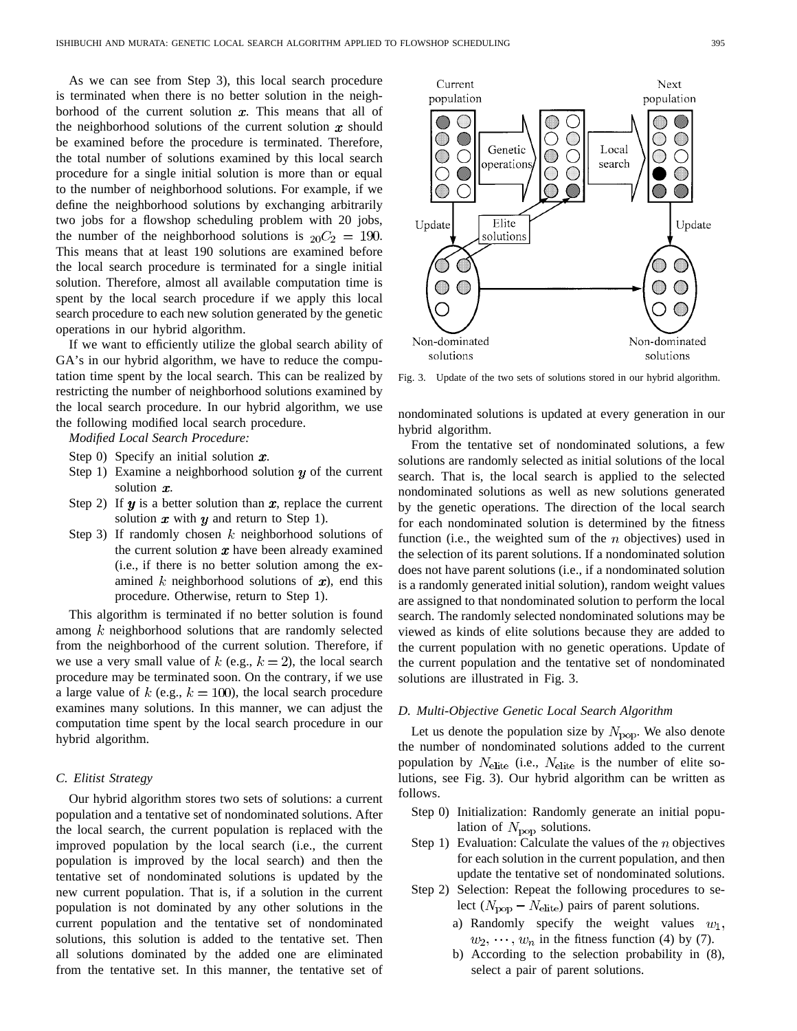As we can see from Step 3), this local search procedure is terminated when there is no better solution in the neighborhood of the current solution  $x$ . This means that all of the neighborhood solutions of the current solution  $x$  should be examined before the procedure is terminated. Therefore, the total number of solutions examined by this local search procedure for a single initial solution is more than or equal to the number of neighborhood solutions. For example, if we define the neighborhood solutions by exchanging arbitrarily two jobs for a flowshop scheduling problem with 20 jobs, the number of the neighborhood solutions is  $_{20}C_2 = 190$ . This means that at least 190 solutions are examined before the local search procedure is terminated for a single initial solution. Therefore, almost all available computation time is spent by the local search procedure if we apply this local search procedure to each new solution generated by the genetic operations in our hybrid algorithm.

If we want to efficiently utilize the global search ability of GA's in our hybrid algorithm, we have to reduce the computation time spent by the local search. This can be realized by restricting the number of neighborhood solutions examined by the local search procedure. In our hybrid algorithm, we use the following modified local search procedure.

*Modified Local Search Procedure:*

- Step 0) Specify an initial solution  $x$ .
- Step 1) Examine a neighborhood solution  $y$  of the current solution  $x$ .
- Step 2) If  $y$  is a better solution than  $x$ , replace the current solution  $x$  with  $y$  and return to Step 1).
- Step 3) If randomly chosen  $k$  neighborhood solutions of the current solution  $x$  have been already examined (i.e., if there is no better solution among the examined k neighborhood solutions of  $\boldsymbol{x}$ ), end this procedure. Otherwise, return to Step 1).

This algorithm is terminated if no better solution is found among  $k$  neighborhood solutions that are randomly selected from the neighborhood of the current solution. Therefore, if we use a very small value of  $k$  (e.g.,  $k = 2$ ), the local search procedure may be terminated soon. On the contrary, if we use a large value of  $k$  (e.g.,  $k = 100$ ), the local search procedure examines many solutions. In this manner, we can adjust the computation time spent by the local search procedure in our hybrid algorithm.

## *C. Elitist Strategy*

Our hybrid algorithm stores two sets of solutions: a current population and a tentative set of nondominated solutions. After the local search, the current population is replaced with the improved population by the local search (i.e., the current population is improved by the local search) and then the tentative set of nondominated solutions is updated by the new current population. That is, if a solution in the current population is not dominated by any other solutions in the current population and the tentative set of nondominated solutions, this solution is added to the tentative set. Then all solutions dominated by the added one are eliminated from the tentative set. In this manner, the tentative set of



Fig. 3. Update of the two sets of solutions stored in our hybrid algorithm.

nondominated solutions is updated at every generation in our hybrid algorithm.

From the tentative set of nondominated solutions, a few solutions are randomly selected as initial solutions of the local search. That is, the local search is applied to the selected nondominated solutions as well as new solutions generated by the genetic operations. The direction of the local search for each nondominated solution is determined by the fitness function (i.e., the weighted sum of the  $n$  objectives) used in the selection of its parent solutions. If a nondominated solution does not have parent solutions (i.e., if a nondominated solution is a randomly generated initial solution), random weight values are assigned to that nondominated solution to perform the local search. The randomly selected nondominated solutions may be viewed as kinds of elite solutions because they are added to the current population with no genetic operations. Update of the current population and the tentative set of nondominated solutions are illustrated in Fig. 3.

## *D. Multi-Objective Genetic Local Search Algorithm*

Let us denote the population size by  $N_{\text{pop}}$ . We also denote the number of nondominated solutions added to the current population by  $N_{\text{elite}}$  (i.e.,  $N_{\text{elite}}$  is the number of elite solutions, see Fig. 3). Our hybrid algorithm can be written as follows.

- Step 0) Initialization: Randomly generate an initial population of  $N_{\rm pop}$  solutions.
- Step 1) Evaluation: Calculate the values of the  $n$  objectives for each solution in the current population, and then update the tentative set of nondominated solutions.
- Step 2) Selection: Repeat the following procedures to select ( $N_{\text{pop}} - N_{\text{elite}}$ ) pairs of parent solutions.
	- a) Randomly specify the weight values  $w_1$ ,  $w_2, \dots, w_n$  in the fitness function (4) by (7).
	- b) According to the selection probability in (8), select a pair of parent solutions.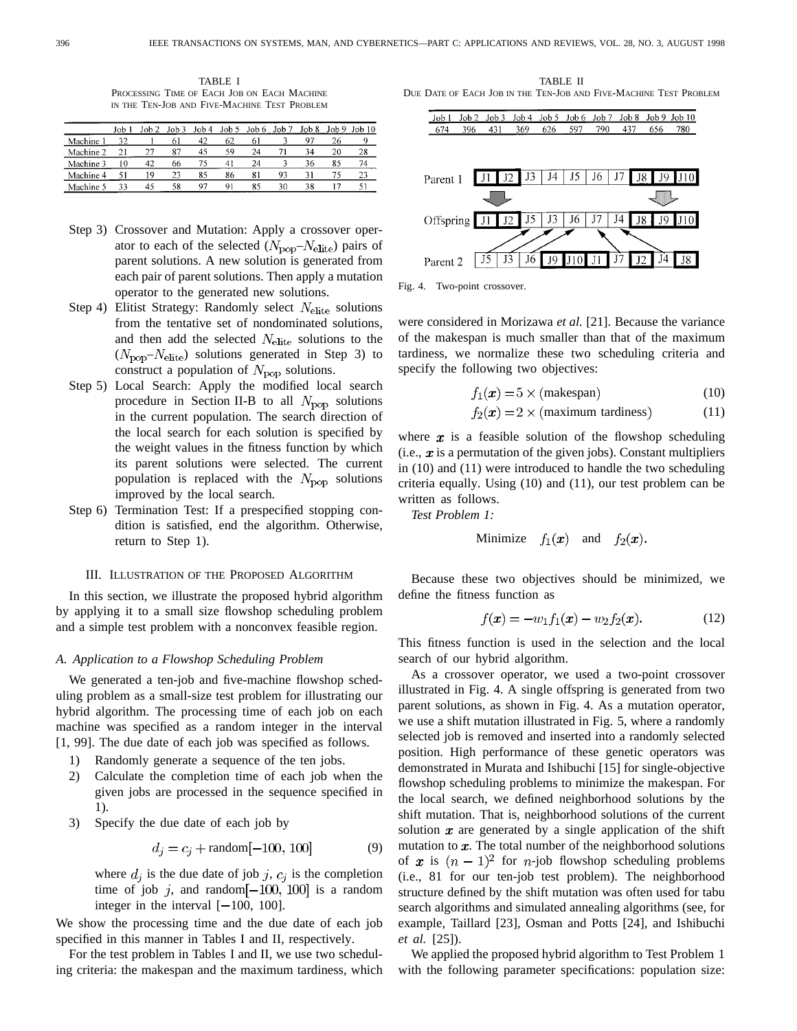TABLE I PROCESSING TIME OF EACH JOB ON EACH MACHINE IN THE TEN-JOB AND FIVE-MACHINE TEST PROBLEM

|           | Job | Job 2 | Job 3 | Job 4 | Job 5 | Job 6 | Job 7 | Job 8 | Job 9 | Job $10$ |
|-----------|-----|-------|-------|-------|-------|-------|-------|-------|-------|----------|
| Machine   | 37  |       | 61    | 47    | 62    | 61    |       | 97    | 26    |          |
| Machine 2 |     |       | 87    | 45    | 59    | 24    |       | 34    | 20    | 28       |
| Machine 3 | 10  | 42    | 66    | 75    | 41    | 24    |       | 36    | 85    | 74       |
| Machine 4 | 51  | ı۹    | 23    | 85    | 86    | 81    | 93    |       | 75    | 23       |
| Machine 5 | 33  | 45    | 58    | 97    | 91    | 85    | 30    | 38    |       |          |

- Step 3) Crossover and Mutation: Apply a crossover operator to each of the selected  $(N_{\text{pop}}-N_{\text{elite}})$  pairs of parent solutions. A new solution is generated from each pair of parent solutions. Then apply a mutation operator to the generated new solutions.
- Step 4) Elitist Strategy: Randomly select  $N_{\text{elite}}$  solutions from the tentative set of nondominated solutions, and then add the selected  $N_{\text{elite}}$  solutions to the  $(N_{\text{pop}}-N_{\text{elite}})$  solutions generated in Step 3) to construct a population of  $N_{\text{pop}}$  solutions.
- Step 5) Local Search: Apply the modified local search procedure in Section II-B to all  $N_{\text{pop}}$  solutions in the current population. The search direction of the local search for each solution is specified by the weight values in the fitness function by which its parent solutions were selected. The current population is replaced with the  $N_{\text{pop}}$  solutions improved by the local search.
- Step 6) Termination Test: If a prespecified stopping condition is satisfied, end the algorithm. Otherwise, return to Step 1).

## III. ILLUSTRATION OF THE PROPOSED ALGORITHM

In this section, we illustrate the proposed hybrid algorithm by applying it to a small size flowshop scheduling problem and a simple test problem with a nonconvex feasible region.

## *A. Application to a Flowshop Scheduling Problem*

We generated a ten-job and five-machine flowshop scheduling problem as a small-size test problem for illustrating our hybrid algorithm. The processing time of each job on each machine was specified as a random integer in the interval [1, 99]. The due date of each job was specified as follows.

- 1) Randomly generate a sequence of the ten jobs.
- 2) Calculate the completion time of each job when the given jobs are processed in the sequence specified in 1).
- 3) Specify the due date of each job by

$$
d_j = c_j + \text{random}[-100, 100] \tag{9}
$$

where  $d_j$  is the due date of job j,  $c_j$  is the completion time of job j, and random  $[-100, 100]$  is a random integer in the interval  $[-100, 100]$ .

We show the processing time and the due date of each job specified in this manner in Tables I and II, respectively.

For the test problem in Tables I and II, we use two scheduling criteria: the makespan and the maximum tardiness, which

TABLE II DUE DATE OF EACH JOB IN THE TEN-JOB AND FIVE-MACHINE TEST PROBLEM

| Job L |     |     |     | Job 2 Job 3 Job 4 Job 5 Job 6 Job 7 Job 8 Job 9 |  | I <sub>0</sub> h <sub>10</sub> |
|-------|-----|-----|-----|-------------------------------------------------|--|--------------------------------|
|       | 431 | 369 | 626 | 597                                             |  |                                |



Fig. 4. Two-point crossover.

were considered in Morizawa *et al.* [21]. Because the variance of the makespan is much smaller than that of the maximum tardiness, we normalize these two scheduling criteria and specify the following two objectives:

$$
f_1(x) = 5 \times \text{(makespan)}\tag{10}
$$

$$
f_2(x) = 2 \times (maximum \tardiness)
$$
 (11)

where  $x$  is a feasible solution of the flowshop scheduling (i.e.,  $x$  is a permutation of the given jobs). Constant multipliers in (10) and (11) were introduced to handle the two scheduling criteria equally. Using (10) and (11), our test problem can be written as follows.

*Test Problem 1:*

Minimize 
$$
f_1(x)
$$
 and  $f_2(x)$ .

Because these two objectives should be minimized, we define the fitness function as

$$
f(x) = -w_1 f_1(x) - w_2 f_2(x).
$$
 (12)

This fitness function is used in the selection and the local search of our hybrid algorithm.

As a crossover operator, we used a two-point crossover illustrated in Fig. 4. A single offspring is generated from two parent solutions, as shown in Fig. 4. As a mutation operator, we use a shift mutation illustrated in Fig. 5, where a randomly selected job is removed and inserted into a randomly selected position. High performance of these genetic operators was demonstrated in Murata and Ishibuchi [15] for single-objective flowshop scheduling problems to minimize the makespan. For the local search, we defined neighborhood solutions by the shift mutation. That is, neighborhood solutions of the current solution  $x$  are generated by a single application of the shift mutation to  $x$ . The total number of the neighborhood solutions of x is  $(n-1)^2$  for *n*-job flowshop scheduling problems (i.e., 81 for our ten-job test problem). The neighborhood structure defined by the shift mutation was often used for tabu search algorithms and simulated annealing algorithms (see, for example, Taillard [23], Osman and Potts [24], and Ishibuchi *et al.* [25]).

We applied the proposed hybrid algorithm to Test Problem 1 with the following parameter specifications: population size: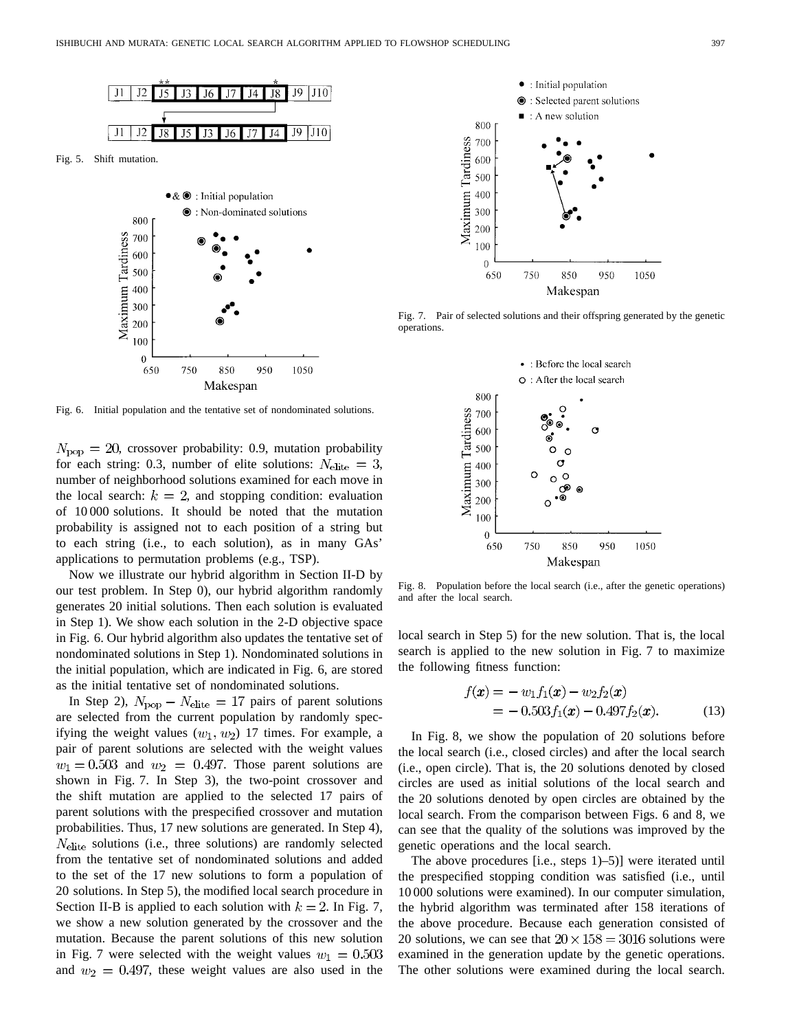

Fig. 5. Shift mutation.



Fig. 6. Initial population and the tentative set of nondominated solutions.

 $N_{\text{pop}} = 20$ , crossover probability: 0.9, mutation probability for each string: 0.3, number of elite solutions:  $N_{\text{elite}} = 3$ , number of neighborhood solutions examined for each move in the local search:  $k = 2$ , and stopping condition: evaluation of 10 000 solutions. It should be noted that the mutation probability is assigned not to each position of a string but to each string (i.e., to each solution), as in many GAs' applications to permutation problems (e.g., TSP).

Now we illustrate our hybrid algorithm in Section II-D by our test problem. In Step 0), our hybrid algorithm randomly generates 20 initial solutions. Then each solution is evaluated in Step 1). We show each solution in the 2-D objective space in Fig. 6. Our hybrid algorithm also updates the tentative set of nondominated solutions in Step 1). Nondominated solutions in the initial population, which are indicated in Fig. 6, are stored as the initial tentative set of nondominated solutions.

In Step 2),  $N_{\text{pop}} - N_{\text{elite}} = 17$  pairs of parent solutions are selected from the current population by randomly specifying the weight values  $(w_1, w_2)$  17 times. For example, a pair of parent solutions are selected with the weight values  $w_1 = 0.503$  and  $w_2 = 0.497$ . Those parent solutions are shown in Fig. 7. In Step 3), the two-point crossover and the shift mutation are applied to the selected 17 pairs of parent solutions with the prespecified crossover and mutation probabilities. Thus, 17 new solutions are generated. In Step 4),  $N_{\text{elite}}$  solutions (i.e., three solutions) are randomly selected from the tentative set of nondominated solutions and added to the set of the 17 new solutions to form a population of 20 solutions. In Step 5), the modified local search procedure in Section II-B is applied to each solution with  $k = 2$ . In Fig. 7, we show a new solution generated by the crossover and the mutation. Because the parent solutions of this new solution in Fig. 7 were selected with the weight values  $w_1 = 0.503$ and  $w_2 = 0.497$ , these weight values are also used in the



Fig. 7. Pair of selected solutions and their offspring generated by the genetic operations.



Fig. 8. Population before the local search (i.e., after the genetic operations) and after the local search.

local search in Step 5) for the new solution. That is, the local search is applied to the new solution in Fig. 7 to maximize the following fitness function:

$$
f(\mathbf{x}) = -w_1 f_1(\mathbf{x}) - w_2 f_2(\mathbf{x})
$$
  
= -0.503f\_1(\mathbf{x}) - 0.497f\_2(\mathbf{x}). (13)

In Fig. 8, we show the population of 20 solutions before the local search (i.e., closed circles) and after the local search (i.e., open circle). That is, the 20 solutions denoted by closed circles are used as initial solutions of the local search and the 20 solutions denoted by open circles are obtained by the local search. From the comparison between Figs. 6 and 8, we can see that the quality of the solutions was improved by the genetic operations and the local search.

The above procedures [i.e., steps 1)–5)] were iterated until the prespecified stopping condition was satisfied (i.e., until 10 000 solutions were examined). In our computer simulation, the hybrid algorithm was terminated after 158 iterations of the above procedure. Because each generation consisted of 20 solutions, we can see that  $20 \times 158 = 3016$  solutions were examined in the generation update by the genetic operations. The other solutions were examined during the local search.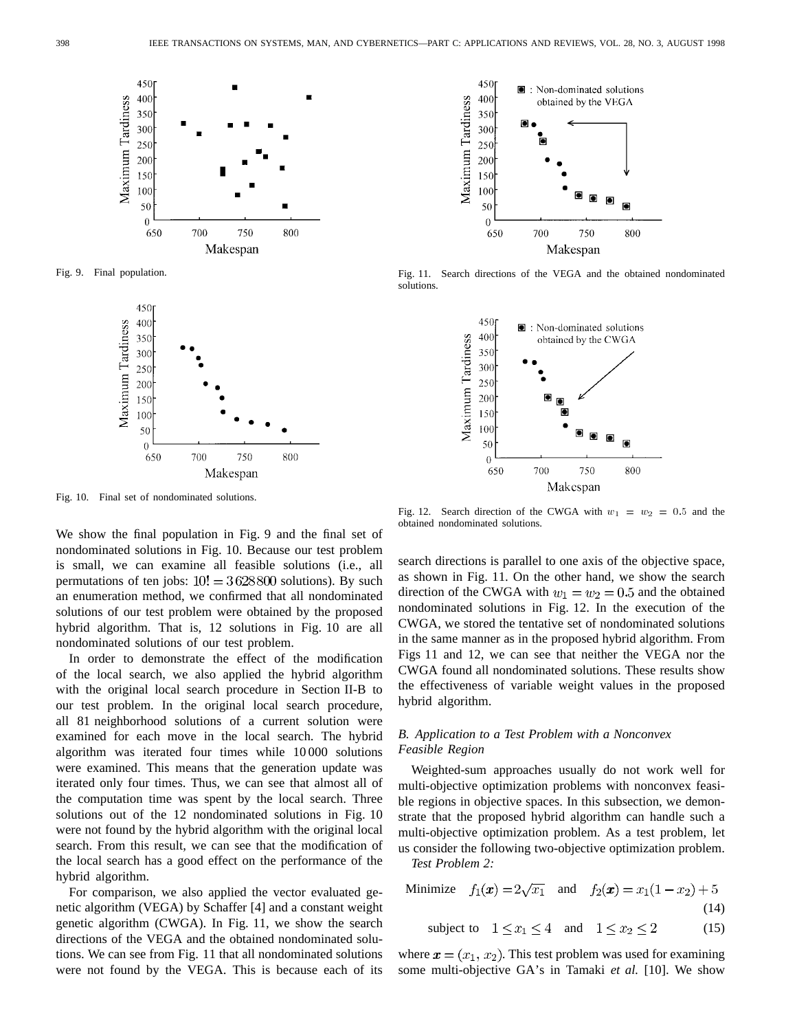

Fig. 9. Final population.



Fig. 10. Final set of nondominated solutions.

We show the final population in Fig. 9 and the final set of nondominated solutions in Fig. 10. Because our test problem is small, we can examine all feasible solutions (i.e., all permutations of ten jobs:  $10! = 3628800$  solutions). By such an enumeration method, we confirmed that all nondominated solutions of our test problem were obtained by the proposed hybrid algorithm. That is, 12 solutions in Fig. 10 are all nondominated solutions of our test problem.

In order to demonstrate the effect of the modification of the local search, we also applied the hybrid algorithm with the original local search procedure in Section II-B to our test problem. In the original local search procedure, all 81 neighborhood solutions of a current solution were examined for each move in the local search. The hybrid algorithm was iterated four times while 10 000 solutions were examined. This means that the generation update was iterated only four times. Thus, we can see that almost all of the computation time was spent by the local search. Three solutions out of the 12 nondominated solutions in Fig. 10 were not found by the hybrid algorithm with the original local search. From this result, we can see that the modification of the local search has a good effect on the performance of the hybrid algorithm.

For comparison, we also applied the vector evaluated genetic algorithm (VEGA) by Schaffer [4] and a constant weight genetic algorithm (CWGA). In Fig. 11, we show the search directions of the VEGA and the obtained nondominated solutions. We can see from Fig. 11 that all nondominated solutions were not found by the VEGA. This is because each of its



Fig. 11. Search directions of the VEGA and the obtained nondominated solutions.



Fig. 12. Search direction of the CWGA with  $w_1 = w_2 = 0.5$  and the obtained nondominated solutions.

search directions is parallel to one axis of the objective space, as shown in Fig. 11. On the other hand, we show the search direction of the CWGA with  $w_1 = w_2 = 0.5$  and the obtained nondominated solutions in Fig. 12. In the execution of the CWGA, we stored the tentative set of nondominated solutions in the same manner as in the proposed hybrid algorithm. From Figs 11 and 12, we can see that neither the VEGA nor the CWGA found all nondominated solutions. These results show the effectiveness of variable weight values in the proposed hybrid algorithm.

# *B. Application to a Test Problem with a Nonconvex Feasible Region*

Weighted-sum approaches usually do not work well for multi-objective optimization problems with nonconvex feasible regions in objective spaces. In this subsection, we demonstrate that the proposed hybrid algorithm can handle such a multi-objective optimization problem. As a test problem, let us consider the following two-objective optimization problem. *Test Problem 2:*

Minimize 
$$
f_1(\mathbf{x}) = 2\sqrt{x_1}
$$
 and  $f_2(\mathbf{x}) = x_1(1 - x_2) + 5$   
(14)  
subject to  $1 \le x_1 \le 4$  and  $1 \le x_2 \le 2$  (15)

where  $\mathbf{x} = (x_1, x_2)$ . This test problem was used for examining some multi-objective GA's in Tamaki *et al.* [10]. We show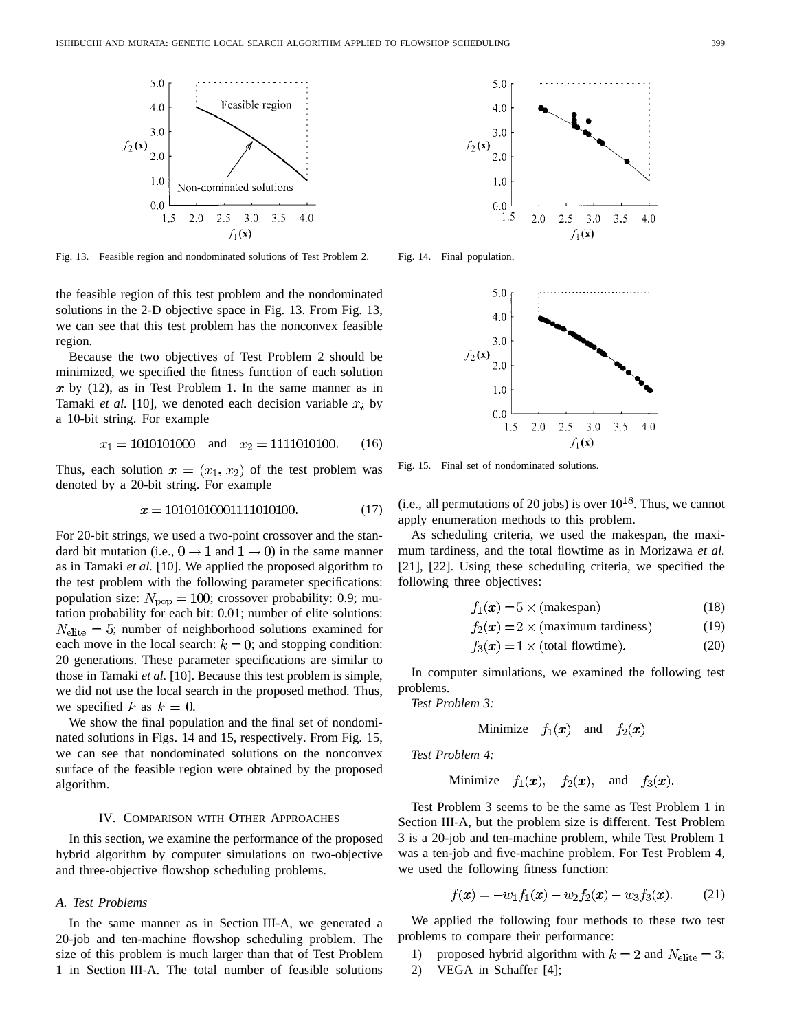

Fig. 13. Feasible region and nondominated solutions of Test Problem 2.

the feasible region of this test problem and the nondominated solutions in the 2-D objective space in Fig. 13. From Fig. 13, we can see that this test problem has the nonconvex feasible region.

Because the two objectives of Test Problem 2 should be minimized, we specified the fitness function of each solution  $x$  by (12), as in Test Problem 1. In the same manner as in Tamaki *et al.* [10], we denoted each decision variable  $x_i$  by a 10-bit string. For example

$$
x_1 = 1010101000
$$
 and  $x_2 = 1111010100.$  (16)

Thus, each solution  $\mathbf{x} = (x_1, x_2)$  of the test problem was denoted by a 20-bit string. For example

$$
x = 10101010001111010100.\t(17)
$$

For 20-bit strings, we used a two-point crossover and the standard bit mutation (i.e.,  $0 \rightarrow 1$  and  $1 \rightarrow 0$ ) in the same manner as in Tamaki *et al.* [10]. We applied the proposed algorithm to the test problem with the following parameter specifications: population size:  $N_{\text{pop}} = 100$ ; crossover probability: 0.9; mutation probability for each bit: 0.01; number of elite solutions:  $N_{\text{elite}} = 5$ ; number of neighborhood solutions examined for each move in the local search:  $k = 0$ ; and stopping condition: 20 generations. These parameter specifications are similar to those in Tamaki *et al.* [10]. Because this test problem is simple, we did not use the local search in the proposed method. Thus, we specified k as  $k = 0$ .

We show the final population and the final set of nondominated solutions in Figs. 14 and 15, respectively. From Fig. 15, we can see that nondominated solutions on the nonconvex surface of the feasible region were obtained by the proposed algorithm.

## IV. COMPARISON WITH OTHER APPROACHES

In this section, we examine the performance of the proposed hybrid algorithm by computer simulations on two-objective and three-objective flowshop scheduling problems.

## *A. Test Problems*

In the same manner as in Section III-A, we generated a 20-job and ten-machine flowshop scheduling problem. The size of this problem is much larger than that of Test Problem 1 in Section III-A. The total number of feasible solutions



Fig. 14. Final population.



Fig. 15. Final set of nondominated solutions.

(i.e., all permutations of 20 jobs) is over  $10^{18}$ . Thus, we cannot apply enumeration methods to this problem.

As scheduling criteria, we used the makespan, the maximum tardiness, and the total flowtime as in Morizawa *et al.* [21], [22]. Using these scheduling criteria, we specified the following three objectives:

$$
f_1(x) = 5 \times \text{(makespan)}\tag{18}
$$

$$
f_2(x) = 2 \times (maximum \tardiness)
$$
 (19)

$$
f_3(x) = 1 \times \text{(total flowtime)}.
$$
 (20)

In computer simulations, we examined the following test problems.

*Test Problem 3:*

Minimize 
$$
f_1(x)
$$
 and  $f_2(x)$ 

*Test Problem 4:*

Minimize 
$$
f_1(x)
$$
,  $f_2(x)$ , and  $f_3(x)$ 

Test Problem 3 seems to be the same as Test Problem 1 in Section III-A, but the problem size is different. Test Problem 3 is a 20-job and ten-machine problem, while Test Problem 1 was a ten-job and five-machine problem. For Test Problem 4, we used the following fitness function:

$$
f(x) = -w_1 f_1(x) - w_2 f_2(x) - w_3 f_3(x).
$$
 (21)

We applied the following four methods to these two test problems to compare their performance:

- 1) proposed hybrid algorithm with  $k = 2$  and  $N_{\text{elite}} = 3$ ;
- 2) VEGA in Schaffer [4];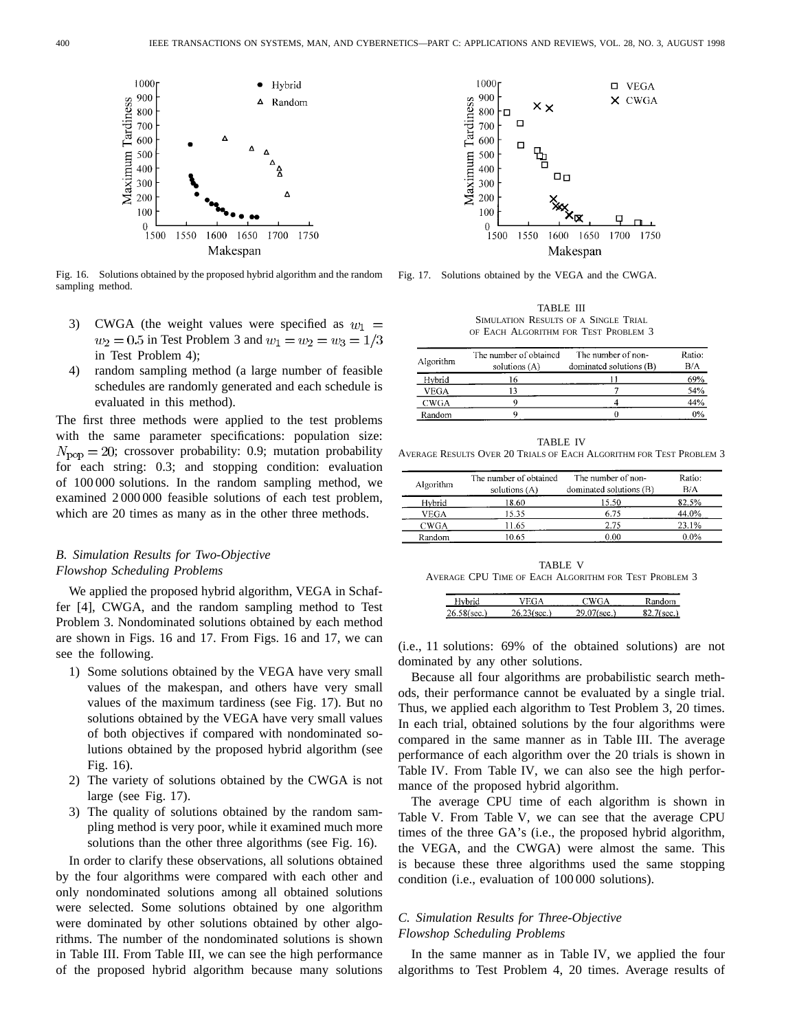

Fig. 16. Solutions obtained by the proposed hybrid algorithm and the random sampling method.

- 3) CWGA (the weight values were specified as  $w_1 =$  $w_2 = 0.5$  in Test Problem 3 and  $w_1 = w_2 = w_3 = 1/3$ in Test Problem 4);
- 4) random sampling method (a large number of feasible schedules are randomly generated and each schedule is evaluated in this method).

The first three methods were applied to the test problems with the same parameter specifications: population size:  $N_{\text{pop}} = 20$ ; crossover probability: 0.9; mutation probability for each string: 0.3; and stopping condition: evaluation of 100 000 solutions. In the random sampling method, we examined 2 000 000 feasible solutions of each test problem, which are 20 times as many as in the other three methods.

# *B. Simulation Results for Two-Objective Flowshop Scheduling Problems*

We applied the proposed hybrid algorithm, VEGA in Schaffer [4], CWGA, and the random sampling method to Test Problem 3. Nondominated solutions obtained by each method are shown in Figs. 16 and 17. From Figs. 16 and 17, we can see the following.

- 1) Some solutions obtained by the VEGA have very small values of the makespan, and others have very small values of the maximum tardiness (see Fig. 17). But no solutions obtained by the VEGA have very small values of both objectives if compared with nondominated solutions obtained by the proposed hybrid algorithm (see Fig. 16).
- 2) The variety of solutions obtained by the CWGA is not large (see Fig. 17).
- 3) The quality of solutions obtained by the random sampling method is very poor, while it examined much more solutions than the other three algorithms (see Fig. 16).

In order to clarify these observations, all solutions obtained by the four algorithms were compared with each other and only nondominated solutions among all obtained solutions were selected. Some solutions obtained by one algorithm were dominated by other solutions obtained by other algorithms. The number of the nondominated solutions is shown in Table III. From Table III, we can see the high performance of the proposed hybrid algorithm because many solutions



Fig. 17. Solutions obtained by the VEGA and the CWGA.

TABLE III SIMULATION RESULTS OF A SINGLE TRIAL OF EACH ALGORITHM FOR TEST PROBLEM 3

| Algorithm   | The number of obtained<br>solutions $(A)$ | The number of non-<br>dominated solutions (B) | Ratio:<br>B/A |
|-------------|-------------------------------------------|-----------------------------------------------|---------------|
| Hybrid      | 16                                        |                                               | 69%           |
| VEGA        |                                           |                                               | 54%           |
| <b>CWGA</b> |                                           |                                               | 44%           |
| Random      |                                           |                                               | 0%            |

TABLE IV AVERAGE RESULTS OVER 20 TRIALS OF EACH ALGORITHM FOR TEST PROBLEM 3

| Algorithm   | The number of obtained<br>solutions (A) | The number of non-<br>dominated solutions (B) | Ratio:<br>B/A |
|-------------|-----------------------------------------|-----------------------------------------------|---------------|
| Hybrid      | 18.60                                   | 15.50                                         | 82.5%         |
| VEGA        | 15.35                                   | 6.75                                          | 44.0%         |
| <b>CWGA</b> | 11.65                                   | 2.75                                          | 23.1%         |
| Random      | 10.65                                   | 0.00                                          | $0.0\%$       |

TABLE V AVERAGE CPU TIME OF EACH ALGORITHM FOR TEST PROBLEM 3

| .                       |         | $\overline{M}$<br>--------- | <b>Pandom</b> |
|-------------------------|---------|-----------------------------|---------------|
| <u>26.58</u><br>'feee 1 | thee su | coc.                        | x,            |

(i.e., 11 solutions: 69% of the obtained solutions) are not dominated by any other solutions.

Because all four algorithms are probabilistic search methods, their performance cannot be evaluated by a single trial. Thus, we applied each algorithm to Test Problem 3, 20 times. In each trial, obtained solutions by the four algorithms were compared in the same manner as in Table III. The average performance of each algorithm over the 20 trials is shown in Table IV. From Table IV, we can also see the high performance of the proposed hybrid algorithm.

The average CPU time of each algorithm is shown in Table V. From Table V, we can see that the average CPU times of the three GA's (i.e., the proposed hybrid algorithm, the VEGA, and the CWGA) were almost the same. This is because these three algorithms used the same stopping condition (i.e., evaluation of 100 000 solutions).

## *C. Simulation Results for Three-Objective Flowshop Scheduling Problems*

In the same manner as in Table IV, we applied the four algorithms to Test Problem 4, 20 times. Average results of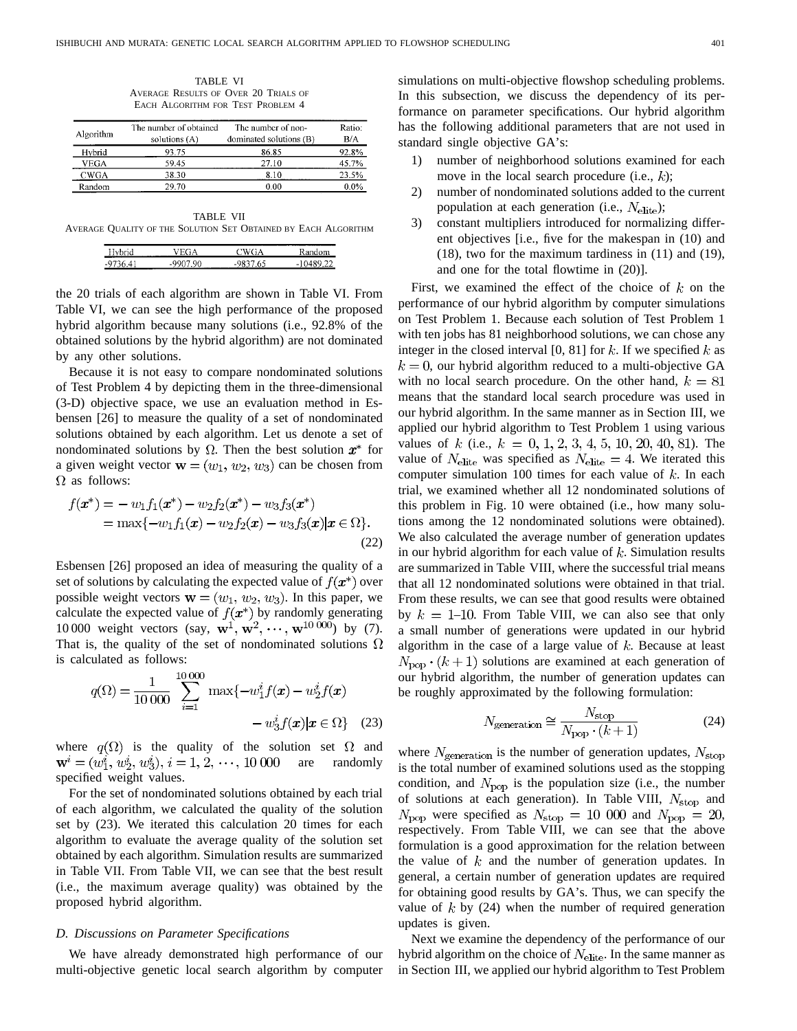TABLE VI AVERAGE RESULTS OF OVER 20 TRIALS OF EACH ALGORITHM FOR TEST PROBLEM 4

| Algorithm   | The number of obtained<br>solutions (A) | The number of non-<br>dominated solutions (B) | Ratio:<br>B/A |
|-------------|-----------------------------------------|-----------------------------------------------|---------------|
| Hybrid      | 93.75                                   | 86.85                                         | 92.8%         |
| VEGA        | 59.45                                   | 27.10                                         | 45.7%         |
| <b>CWGA</b> | 38.30                                   | 8.10                                          | 23.5%         |
| Random      | 29.70                                   |                                               | 0.0%          |

TABLE VII AVERAGE QUALITY OF THE SOLUTION SET OBTAINED BY EACH ALGORITHM

| $07^\circ$<br>.<br>- |  | ר נ |
|----------------------|--|-----|

the 20 trials of each algorithm are shown in Table VI. From Table VI, we can see the high performance of the proposed hybrid algorithm because many solutions (i.e., 92.8% of the obtained solutions by the hybrid algorithm) are not dominated by any other solutions.

Because it is not easy to compare nondominated solutions of Test Problem 4 by depicting them in the three-dimensional (3-D) objective space, we use an evaluation method in Esbensen [26] to measure the quality of a set of nondominated solutions obtained by each algorithm. Let us denote a set of nondominated solutions by  $\Omega$ . Then the best solution  $x^*$  for a given weight vector  $\mathbf{w} = (w_1, w_2, w_3)$  can be chosen from  $\Omega$  as follows:

$$
f(\mathbf{x}^*) = -w_1 f_1(\mathbf{x}^*) - w_2 f_2(\mathbf{x}^*) - w_3 f_3(\mathbf{x}^*)
$$
  
= max{-w\_1 f\_1(\mathbf{x}) - w\_2 f\_2(\mathbf{x}) - w\_3 f\_3(\mathbf{x}) | \mathbf{x} \in \Omega}. (22)

Esbensen [26] proposed an idea of measuring the quality of a set of solutions by calculating the expected value of  $f(\mathbf{x}^*)$  over possible weight vectors  $\mathbf{w} = (w_1, w_2, w_3)$ . In this paper, we calculate the expected value of  $f(\mathbf{x}^*)$  by randomly generating 10 000 weight vectors (say,  $w^1, w^2, \cdots, w^{10\,000}$ ) by (7). That is, the quality of the set of nondominated solutions  $\Omega$ is calculated as follows:

$$
q(\Omega) = \frac{1}{10\ 000} \sum_{i=1}^{10\ 000} \max\{-w_1^i f(x) - w_2^i f(x) - w_3^i f(x)|x \in \Omega\}
$$
 (23)

where  $q(\Omega)$  is the quality of the solution set  $\Omega$  and  $\mathbf{w}^i = (w_1^i, w_2^i, w_3^i), i = 1, 2, \cdots, 10000$ are randomly specified weight values.

For the set of nondominated solutions obtained by each trial of each algorithm, we calculated the quality of the solution set by (23). We iterated this calculation 20 times for each algorithm to evaluate the average quality of the solution set obtained by each algorithm. Simulation results are summarized in Table VII. From Table VII, we can see that the best result (i.e., the maximum average quality) was obtained by the proposed hybrid algorithm.

#### *D. Discussions on Parameter Specifications*

We have already demonstrated high performance of our multi-objective genetic local search algorithm by computer simulations on multi-objective flowshop scheduling problems. In this subsection, we discuss the dependency of its performance on parameter specifications. Our hybrid algorithm has the following additional parameters that are not used in standard single objective GA's:

- 1) number of neighborhood solutions examined for each move in the local search procedure (i.e.,  $k$ );
- 2) number of nondominated solutions added to the current population at each generation (i.e.,  $N_{\text{elite}}$ );
- 3) constant multipliers introduced for normalizing different objectives [i.e., five for the makespan in (10) and (18), two for the maximum tardiness in (11) and (19), and one for the total flowtime in (20)].

First, we examined the effect of the choice of  $k$  on the performance of our hybrid algorithm by computer simulations on Test Problem 1. Because each solution of Test Problem 1 with ten jobs has 81 neighborhood solutions, we can chose any integer in the closed interval [0, 81] for k. If we specified k as  $k = 0$ , our hybrid algorithm reduced to a multi-objective GA with no local search procedure. On the other hand,  $k = 81$ means that the standard local search procedure was used in our hybrid algorithm. In the same manner as in Section III, we applied our hybrid algorithm to Test Problem 1 using various values of  $k$  (i.e.,  $k = 0, 1, 2, 3, 4, 5, 10, 20, 40, 81$ ). The value of  $N_{\text{elite}}$  was specified as  $N_{\text{elite}} = 4$ . We iterated this computer simulation 100 times for each value of  $k$ . In each trial, we examined whether all 12 nondominated solutions of this problem in Fig. 10 were obtained (i.e., how many solutions among the 12 nondominated solutions were obtained). We also calculated the average number of generation updates in our hybrid algorithm for each value of  $k$ . Simulation results are summarized in Table VIII, where the successful trial means that all 12 nondominated solutions were obtained in that trial. From these results, we can see that good results were obtained by  $k = 1{\text -}10$ . From Table VIII, we can also see that only a small number of generations were updated in our hybrid algorithm in the case of a large value of  $k$ . Because at least  $N_{\text{pop}} \cdot (k+1)$  solutions are examined at each generation of our hybrid algorithm, the number of generation updates can be roughly approximated by the following formulation:

$$
V_{\text{generation}} \cong \frac{N_{\text{stop}}}{N_{\text{pop}} \cdot (k+1)}\tag{24}
$$

where  $N_{\text{generation}}$  is the number of generation updates,  $N_{\text{stop}}$ is the total number of examined solutions used as the stopping condition, and  $N_{\text{pop}}$  is the population size (i.e., the number of solutions at each generation). In Table VIII,  $N_{\rm stop}$  and  $N_{\text{pop}}$  were specified as  $N_{\text{stop}} = 10\ 000$  and  $N_{\text{pop}} = 20$ , respectively. From Table VIII, we can see that the above formulation is a good approximation for the relation between the value of  $k$  and the number of generation updates. In general, a certain number of generation updates are required for obtaining good results by GA's. Thus, we can specify the value of  $k$  by (24) when the number of required generation updates is given.

 $\overline{I}$ 

Next we examine the dependency of the performance of our hybrid algorithm on the choice of  $N_{\text{elite}}$ . In the same manner as in Section III, we applied our hybrid algorithm to Test Problem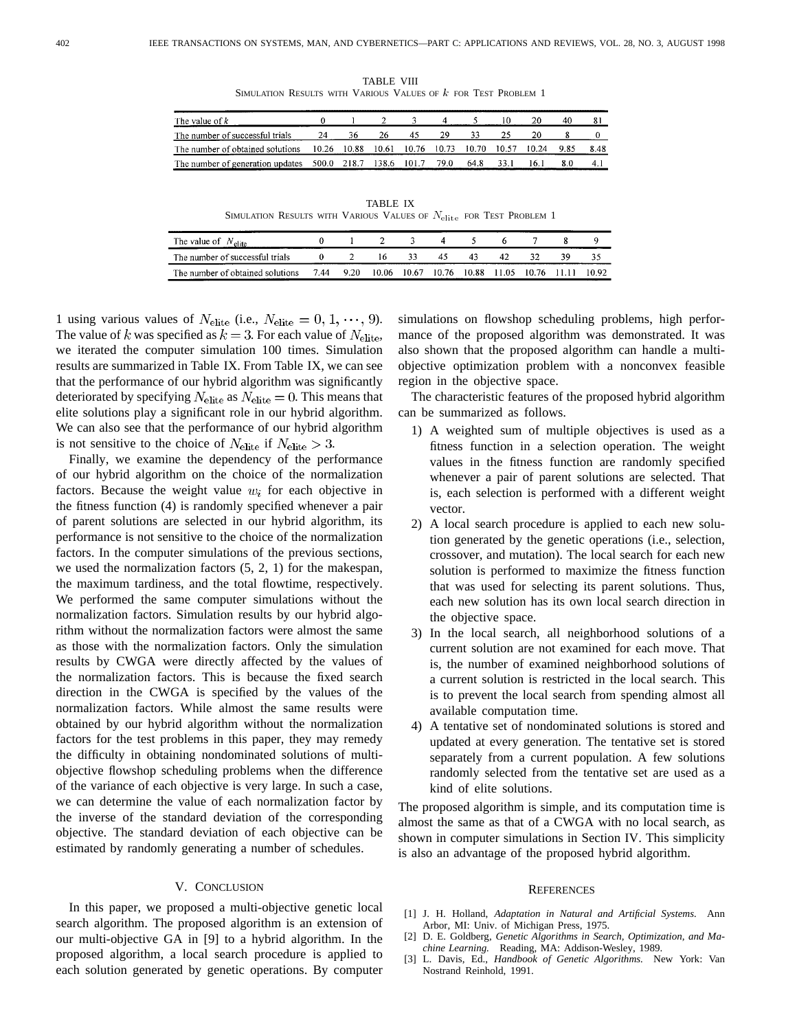TABLE VIII SIMULATION RESULTS WITH VARIOUS VALUES OF  $k$  for Test Problem 1

| The value of $k$                 |             |       |       |       |       |       |       |       | 40   |      |
|----------------------------------|-------------|-------|-------|-------|-------|-------|-------|-------|------|------|
| The number of successful trials  |             |       |       | 45    | 29    | 33    |       |       |      |      |
| The number of obtained solutions | 10.26       | 10.88 | 10.61 | 10.76 | 10.73 | 10.70 | 10.57 | 10.24 | 9.85 | 8.48 |
| The number of generation updates | 500.0 218.7 |       | 138.6 | 101.7 | 79.0  | 64.8  |       |       |      |      |

TABLE IX SIMULATION RESULTS WITH VARIOUS VALUES OF  $N_{\rm elite}$  for Test Problem 1

| The value of $N_{\text{elite}}$  |      |      |       |       |       |       |        |        |       |
|----------------------------------|------|------|-------|-------|-------|-------|--------|--------|-------|
| The number of successful trials  |      |      |       |       |       | 43    |        |        |       |
| The number of obtained solutions | 7.44 | 9.20 | 10.06 | 10.67 | 10.76 | 10.88 | I 105. | 10.76. | 10.92 |

1 using various values of  $N_{\text{elite}}$  (i.e.,  $N_{\text{elite}} = 0, 1, \dots, 9$ ). The value of k was specified as  $k = 3$ . For each value of  $N_{\text{elite}}$ , we iterated the computer simulation 100 times. Simulation results are summarized in Table IX. From Table IX, we can see that the performance of our hybrid algorithm was significantly deteriorated by specifying  $N_{\text{elite}}$  as  $N_{\text{elite}} = 0$ . This means that elite solutions play a significant role in our hybrid algorithm. We can also see that the performance of our hybrid algorithm is not sensitive to the choice of  $N_{\text{elite}}$  if  $N_{\text{elite}} > 3$ .

Finally, we examine the dependency of the performance of our hybrid algorithm on the choice of the normalization factors. Because the weight value  $w_i$  for each objective in the fitness function (4) is randomly specified whenever a pair of parent solutions are selected in our hybrid algorithm, its performance is not sensitive to the choice of the normalization factors. In the computer simulations of the previous sections, we used the normalization factors (5, 2, 1) for the makespan, the maximum tardiness, and the total flowtime, respectively. We performed the same computer simulations without the normalization factors. Simulation results by our hybrid algorithm without the normalization factors were almost the same as those with the normalization factors. Only the simulation results by CWGA were directly affected by the values of the normalization factors. This is because the fixed search direction in the CWGA is specified by the values of the normalization factors. While almost the same results were obtained by our hybrid algorithm without the normalization factors for the test problems in this paper, they may remedy the difficulty in obtaining nondominated solutions of multiobjective flowshop scheduling problems when the difference of the variance of each objective is very large. In such a case, we can determine the value of each normalization factor by the inverse of the standard deviation of the corresponding objective. The standard deviation of each objective can be estimated by randomly generating a number of schedules.

## V. CONCLUSION

In this paper, we proposed a multi-objective genetic local search algorithm. The proposed algorithm is an extension of our multi-objective GA in [9] to a hybrid algorithm. In the proposed algorithm, a local search procedure is applied to each solution generated by genetic operations. By computer

simulations on flowshop scheduling problems, high performance of the proposed algorithm was demonstrated. It was also shown that the proposed algorithm can handle a multiobjective optimization problem with a nonconvex feasible region in the objective space.

The characteristic features of the proposed hybrid algorithm can be summarized as follows.

- 1) A weighted sum of multiple objectives is used as a fitness function in a selection operation. The weight values in the fitness function are randomly specified whenever a pair of parent solutions are selected. That is, each selection is performed with a different weight vector.
- 2) A local search procedure is applied to each new solution generated by the genetic operations (i.e., selection, crossover, and mutation). The local search for each new solution is performed to maximize the fitness function that was used for selecting its parent solutions. Thus, each new solution has its own local search direction in the objective space.
- 3) In the local search, all neighborhood solutions of a current solution are not examined for each move. That is, the number of examined neighborhood solutions of a current solution is restricted in the local search. This is to prevent the local search from spending almost all available computation time.
- 4) A tentative set of nondominated solutions is stored and updated at every generation. The tentative set is stored separately from a current population. A few solutions randomly selected from the tentative set are used as a kind of elite solutions.

The proposed algorithm is simple, and its computation time is almost the same as that of a CWGA with no local search, as shown in computer simulations in Section IV. This simplicity is also an advantage of the proposed hybrid algorithm.

#### **REFERENCES**

- [1] J. H. Holland, *Adaptation in Natural and Artificial Systems.* Ann Arbor, MI: Univ. of Michigan Press, 1975.
- [2] D. E. Goldberg, *Genetic Algorithms in Search, Optimization, and Machine Learning.* Reading, MA: Addison-Wesley, 1989.
- [3] L. Davis, Ed., *Handbook of Genetic Algorithms.* New York: Van Nostrand Reinhold, 1991.